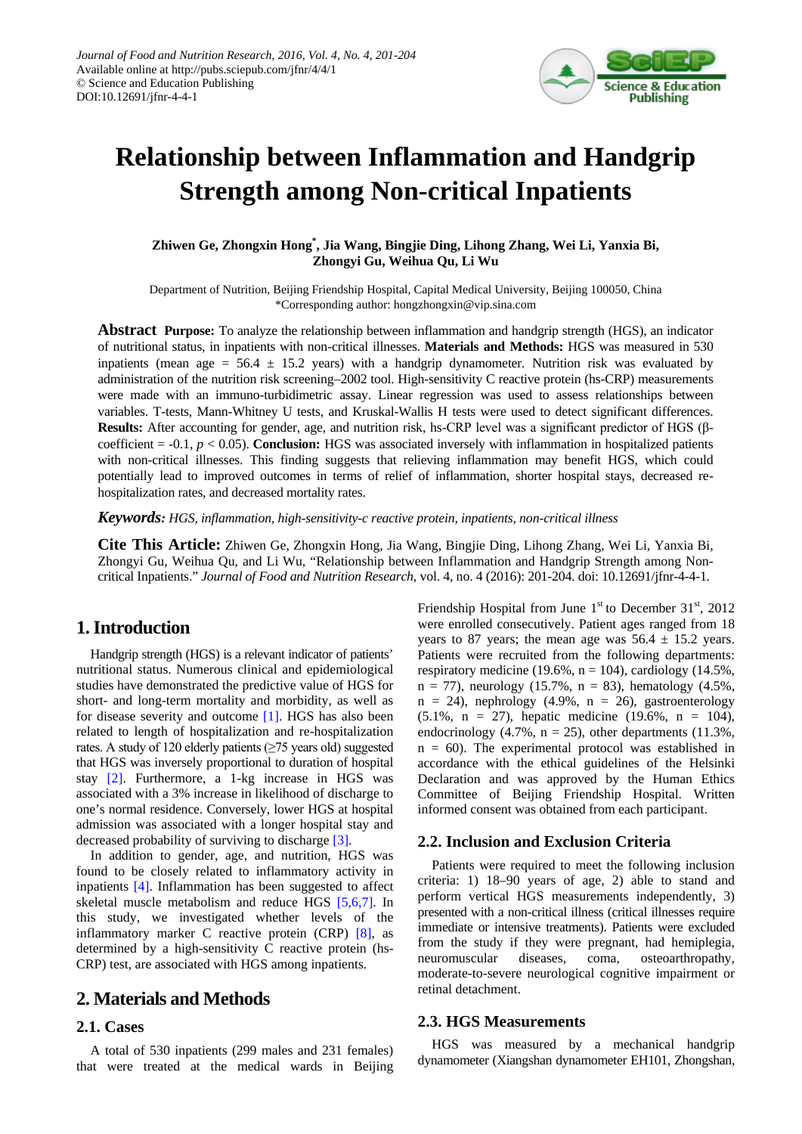

# **Relationship between Inflammation and Handgrip Strength among Non-critical Inpatients**

**Zhiwen Ge, Zhongxin Hong\* , Jia Wang, Bingjie Ding, Lihong Zhang, Wei Li, Yanxia Bi, Zhongyi Gu, Weihua Qu, Li Wu**

Department of Nutrition, Beijing Friendship Hospital, Capital Medical University, Beijing 100050, China \*Corresponding author: hongzhongxin@vip.sina.com

**Abstract Purpose:** To analyze the relationship between inflammation and handgrip strength (HGS), an indicator of nutritional status, in inpatients with non-critical illnesses. **Materials and Methods:** HGS was measured in 530 inpatients (mean age =  $56.4 \pm 15.2$  years) with a handgrip dynamometer. Nutrition risk was evaluated by administration of the nutrition risk screening–2002 tool. High-sensitivity C reactive protein (hs-CRP) measurements were made with an immuno-turbidimetric assay. Linear regression was used to assess relationships between variables. T-tests, Mann-Whitney U tests, and Kruskal-Wallis H tests were used to detect significant differences. **Results:** After accounting for gender, age, and nutrition risk, hs-CRP level was a significant predictor of HGS (βcoefficient = -0.1, *p* < 0.05). **Conclusion:** HGS was associated inversely with inflammation in hospitalized patients with non-critical illnesses. This finding suggests that relieving inflammation may benefit HGS, which could potentially lead to improved outcomes in terms of relief of inflammation, shorter hospital stays, decreased rehospitalization rates, and decreased mortality rates.

*Keywords: HGS, inflammation, high-sensitivity-c reactive protein, inpatients, non-critical illness*

**Cite This Article:** Zhiwen Ge, Zhongxin Hong, Jia Wang, Bingjie Ding, Lihong Zhang, Wei Li, Yanxia Bi, Zhongyi Gu, Weihua Qu, and Li Wu, "Relationship between Inflammation and Handgrip Strength among Noncritical Inpatients." *Journal of Food and Nutrition Research*, vol. 4, no. 4 (2016): 201-204. doi: 10.12691/jfnr-4-4-1.

## **1. Introduction**

Handgrip strength (HGS) is a relevant indicator of patients' nutritional status. Numerous clinical and epidemiological studies have demonstrated the predictive value of HGS for short- and long-term mortality and morbidity, as well as for disease severity and outcome [\[1\].](#page-3-0) HGS has also been related to length of hospitalization and re-hospitalization rates. A study of 120 elderly patients (≥75 years old) suggested that HGS was inversely proportional to duration of hospital stay [\[2\].](#page-3-1) Furthermore, a 1-kg increase in HGS was associated with a 3% increase in likelihood of discharge to one's normal residence. Conversely, lower HGS at hospital admission was associated with a longer hospital stay and decreased probability of surviving to discharge [\[3\].](#page-3-2)

In addition to gender, age, and nutrition, HGS was found to be closely related to inflammatory activity in inpatients [\[4\].](#page-3-3) Inflammation has been suggested to affect skeletal muscle metabolism and reduce HGS [\[5,6,7\].](#page-3-4) In this study, we investigated whether levels of the inflammatory marker C reactive protein (CRP) [\[8\],](#page-3-5) as determined by a high-sensitivity C reactive protein (hs-CRP) test, are associated with HGS among inpatients.

## **2. Materials and Methods**

#### **2.1. Cases**

A total of 530 inpatients (299 males and 231 females) that were treated at the medical wards in Beijing Friendship Hospital from June  $1<sup>st</sup>$  to December 31<sup>st</sup>, 2012 were enrolled consecutively. Patient ages ranged from 18 years to 87 years; the mean age was  $56.4 \pm 15.2$  years. Patients were recruited from the following departments: respiratory medicine (19.6%,  $n = 104$ ), cardiology (14.5%,  $n = 77$ ), neurology (15.7%,  $n = 83$ ), hematology (4.5%,  $n = 24$ ), nephrology (4.9%,  $n = 26$ ), gastroenterology (5.1%, n = 27), hepatic medicine (19.6%, n = 104), endocrinology (4.7%,  $n = 25$ ), other departments (11.3%,  $n = 60$ ). The experimental protocol was established in accordance with the ethical guidelines of the Helsinki Declaration and was approved by the Human Ethics Committee of Beijing Friendship Hospital. Written informed consent was obtained from each participant.

#### **2.2. Inclusion and Exclusion Criteria**

Patients were required to meet the following inclusion criteria: 1) 18–90 years of age, 2) able to stand and perform vertical HGS measurements independently, 3) presented with a non-critical illness (critical illnesses require immediate or intensive treatments). Patients were excluded from the study if they were pregnant, had hemiplegia, neuromuscular diseases, coma, osteoarthropathy, moderate-to-severe neurological cognitive impairment or retinal detachment.

#### **2.3. HGS Measurements**

HGS was measured by a mechanical handgrip dynamometer (Xiangshan dynamometer EH101, Zhongshan,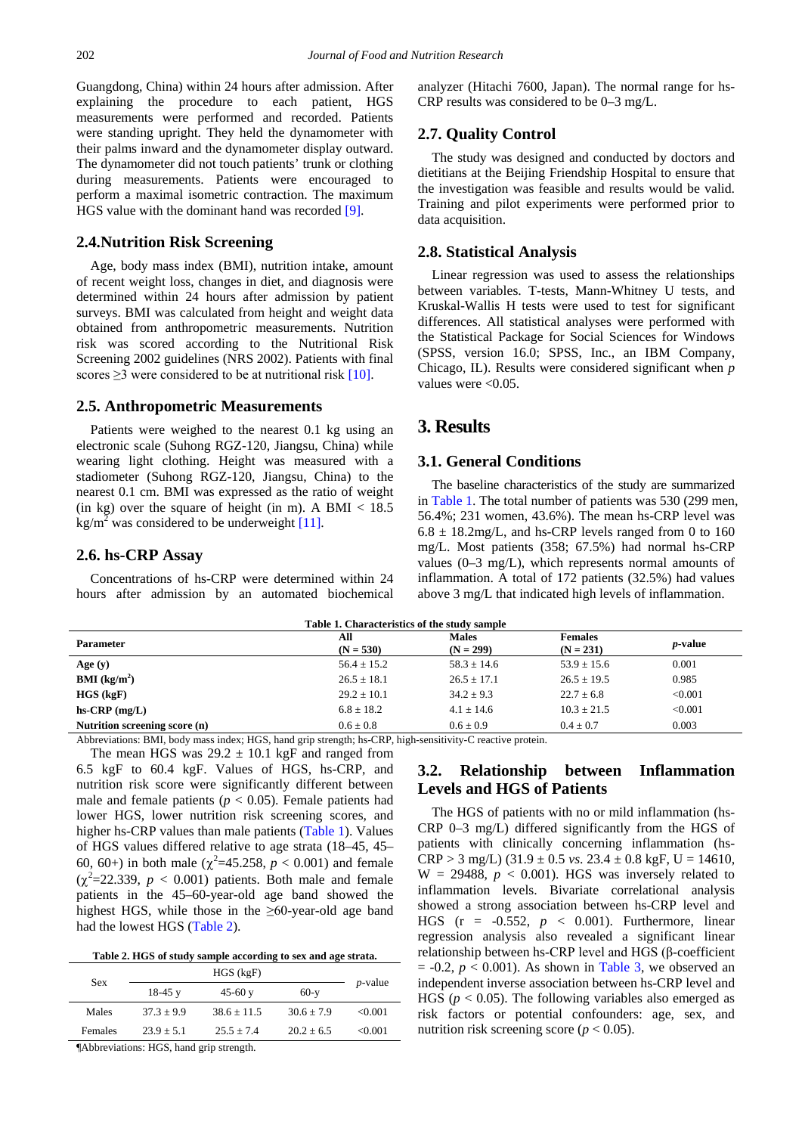Guangdong, China) within 24 hours after admission. After explaining the procedure to each patient, HGS measurements were performed and recorded. Patients were standing upright. They held the dynamometer with their palms inward and the dynamometer display outward. The dynamometer did not touch patients' trunk or clothing during measurements. Patients were encouraged to perform a maximal isometric contraction. The maximum HGS value with the dominant hand was recorded [\[9\].](#page-3-6)

#### **2.4.Nutrition Risk Screening**

Age, body mass index (BMI), nutrition intake, amount of recent weight loss, changes in diet, and diagnosis were determined within 24 hours after admission by patient surveys. BMI was calculated from height and weight data obtained from anthropometric measurements. Nutrition risk was scored according to the Nutritional Risk Screening 2002 guidelines (NRS 2002). Patients with final scores  $\geq$ 3 were considered to be at nutritional risk [\[10\].](#page-3-7)

#### **2.5. Anthropometric Measurements**

Patients were weighed to the nearest 0.1 kg using an electronic scale (Suhong RGZ-120, Jiangsu, China) while wearing light clothing. Height was measured with a stadiometer (Suhong RGZ-120, Jiangsu, China) to the nearest 0.1 cm. BMI was expressed as the ratio of weight (in kg) over the square of height (in m). A BMI  $<$  18.5  $kg/m<sup>2</sup>$  was considered to be underweigh[t \[11\].](#page-3-8)

#### **2.6. hs-CRP Assay**

Concentrations of hs-CRP were determined within 24 hours after admission by an automated biochemical analyzer (Hitachi 7600, Japan). The normal range for hs-CRP results was considered to be 0–3 mg/L.

#### **2.7. Quality Control**

The study was designed and conducted by doctors and dietitians at the Beijing Friendship Hospital to ensure that the investigation was feasible and results would be valid. Training and pilot experiments were performed prior to data acquisition.

#### **2.8. Statistical Analysis**

Linear regression was used to assess the relationships between variables. T-tests, Mann-Whitney U tests, and Kruskal-Wallis H tests were used to test for significant differences. All statistical analyses were performed with the Statistical Package for Social Sciences for Windows (SPSS, version 16.0; SPSS, Inc., an IBM Company, Chicago, IL). Results were considered significant when *p*  values were  $< 0.05$ .

## **3. Results**

#### **3.1. General Conditions**

The baseline characteristics of the study are summarized in [Table 1.](#page-1-0) The total number of patients was 530 (299 men, 56.4%; 231 women, 43.6%). The mean hs-CRP level was  $6.8 \pm 18.2$ mg/L, and hs-CRP levels ranged from 0 to 160 mg/L. Most patients (358; 67.5%) had normal hs-CRP values (0–3 mg/L), which represents normal amounts of inflammation. A total of 172 patients (32.5%) had values above 3 mg/L that indicated high levels of inflammation.

<span id="page-1-0"></span>

| Table 1. Characteristics of the study sample                                                             |                    |                             |                               |                 |  |  |
|----------------------------------------------------------------------------------------------------------|--------------------|-----------------------------|-------------------------------|-----------------|--|--|
| <b>Parameter</b>                                                                                         | All<br>$(N = 530)$ | <b>Males</b><br>$(N = 299)$ | <b>Females</b><br>$(N = 231)$ | <i>p</i> -value |  |  |
| Age $(y)$                                                                                                | $56.4 \pm 15.2$    | $58.3 \pm 14.6$             | $53.9 \pm 15.6$               | 0.001           |  |  |
| $BMI$ (kg/m <sup>2</sup> )                                                                               | $26.5 \pm 18.1$    | $26.5 + 17.1$               | $26.5 \pm 19.5$               | 0.985           |  |  |
| $HGS$ (kgF)                                                                                              | $29.2 + 10.1$      | $34.2 + 9.3$                | $22.7 \pm 6.8$                | < 0.001         |  |  |
| $hs-CRP$ (mg/L)                                                                                          | $6.8 \pm 18.2$     | $4.1 + 14.6$                | $10.3 + 21.5$                 | < 0.001         |  |  |
| Nutrition screening score (n)                                                                            | $0.6 + 0.8$        | $0.6 \pm 0.9$               | $0.4 \pm 0.7$                 | 0.003           |  |  |
| Abbroviationa: DMI, body mass index: HCS, band grip strapsh, be CDD, bigh sonsitivity C resetive protein |                    |                             |                               |                 |  |  |

Abbreviations: BMI, body mass index; HGS, hand grip strength; hs-CRP, high-sensitivity-C reactive protein.

The mean HGS was  $29.2 \pm 10.1$  kgF and ranged from 6.5 kgF to 60.4 kgF. Values of HGS, hs-CRP, and nutrition risk score were significantly different between male and female patients  $(p < 0.05)$ . Female patients had lower HGS, lower nutrition risk screening scores, and higher hs-CRP values than male patients [\(Table 1\)](#page-1-0). Values of HGS values differed relative to age strata (18–45, 45– 60, 60+) in both male ( $\chi^2$ =45.258,  $p < 0.001$ ) and female  $(\chi^2=22.339, p < 0.001)$  patients. Both male and female patients in the 45–60-year-old age band showed the highest HGS, while those in the  $\geq 60$ -year-old age band had the lowest HGS [\(Table 2\)](#page-1-1).

**Table 2. HGS of study sample according to sex and age strata.**

<span id="page-1-1"></span>

| Sex            |              |                 |                |            |  |
|----------------|--------------|-----------------|----------------|------------|--|
|                | $18-45$ y    | 45-60 $v$       | $60-y$         | $p$ -value |  |
| Males          | $37.3 + 9.9$ | $38.6 \pm 11.5$ | $30.6 \pm 7.9$ | < 0.001    |  |
| Females        | $23.9 + 5.1$ | $25.5 + 7.4$    | $20.2 + 6.5$   | < 0.001    |  |
| $\blacksquare$ |              |                 |                |            |  |

¶Abbreviations: HGS, hand grip strength.

## **3.2. Relationship between Inflammation Levels and HGS of Patients**

The HGS of patients with no or mild inflammation (hs-CRP 0–3 mg/L) differed significantly from the HGS of patients with clinically concerning inflammation (hs- $CRP > 3$  mg/L)  $(31.9 \pm 0.5 \text{ vs. } 23.4 \pm 0.8 \text{ kgF}, U = 14610,$  $W = 29488$ ,  $p < 0.001$ ). HGS was inversely related to inflammation levels. Bivariate correlational analysis showed a strong association between hs-CRP level and HGS (r = -0.552, *p* < 0.001). Furthermore, linear regression analysis also revealed a significant linear relationship between hs-CRP level and HGS (β-coefficient  $= -0.2$ ,  $p < 0.001$ ). As shown in [Table 3,](#page-2-0) we observed an independent inverse association between hs-CRP level and HGS ( $p < 0.05$ ). The following variables also emerged as risk factors or potential confounders: age, sex, and nutrition risk screening score ( $p < 0.05$ ).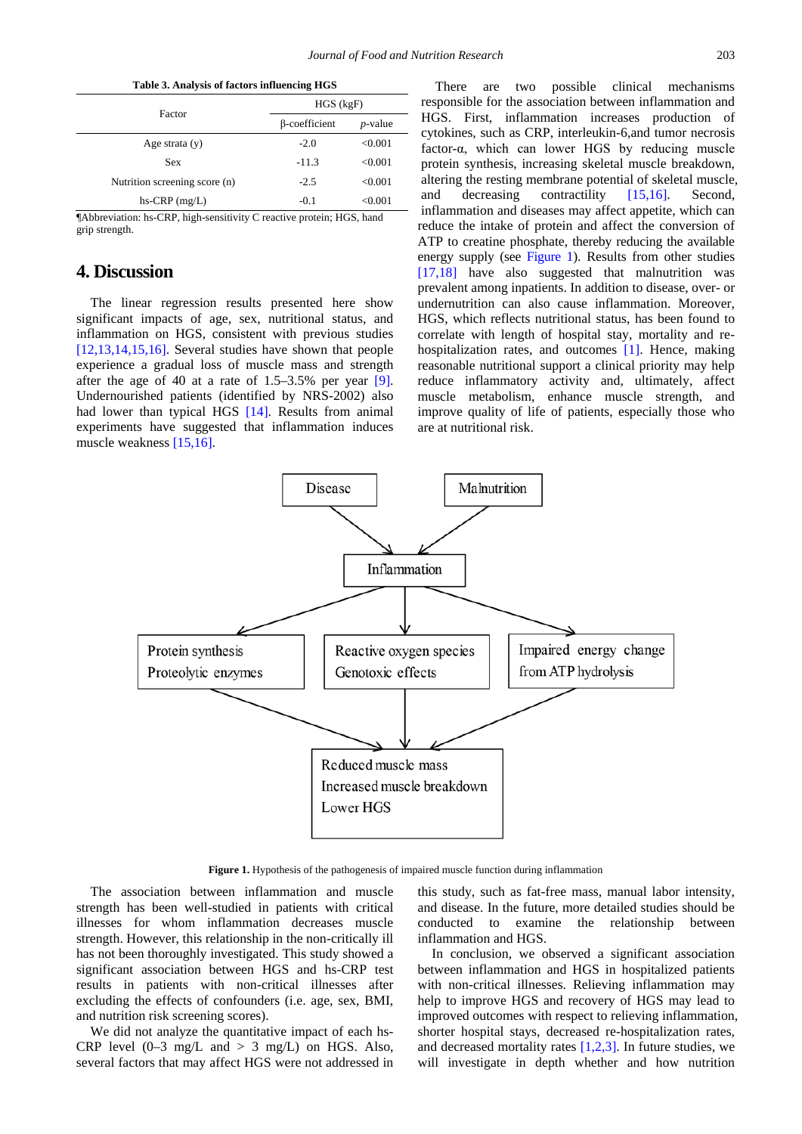<span id="page-2-0"></span>

| Table 3. Analysis of factors influencing HGS |                                    |                                                                                                                      |  |  |  |
|----------------------------------------------|------------------------------------|----------------------------------------------------------------------------------------------------------------------|--|--|--|
|                                              | $HGS$ (kgF)                        |                                                                                                                      |  |  |  |
| Factor                                       | <b>B-coefficient</b><br>$p$ -value |                                                                                                                      |  |  |  |
| Age strata $(y)$                             | $-2.0$                             | < 0.001                                                                                                              |  |  |  |
| <b>Sex</b>                                   | $-11.3$                            | < 0.001                                                                                                              |  |  |  |
| Nutrition screening score (n)                | $-2.5$                             | < 0.001                                                                                                              |  |  |  |
| $hs-CRP$ (mg/L)                              | $-0.1$                             | < 0.001                                                                                                              |  |  |  |
| $\cdots$<br>.<br>----                        | $\cdots$                           | $\mathbf{r}$ $\mathbf{r}$ $\mathbf{r}$ $\mathbf{r}$ $\mathbf{r}$ $\mathbf{r}$ $\mathbf{r}$ $\mathbf{r}$ $\mathbf{r}$ |  |  |  |

¶Abbreviation: hs-CRP, high-sensitivity C reactive protein; HGS, hand grip strength.

## **4. Discussion**

The linear regression results presented here show significant impacts of age, sex, nutritional status, and inflammation on HGS, consistent with previous studies [\[12,13,14,15,16\].](#page-3-9) Several studies have shown that people experience a gradual loss of muscle mass and strength after the age of 40 at a rate of 1.5–3.5% per year [\[9\].](#page-3-6) Undernourished patients (identified by NRS-2002) also had lower than typical HGS [\[14\].](#page-3-10) Results from animal experiments have suggested that inflammation induces muscle weakness [\[15,16\].](#page-3-11)

There are two possible clinical mechanisms responsible for the association between inflammation and HGS. First, inflammation increases production of cytokines, such as CRP, interleukin-6,and tumor necrosis factor-α, which can lower HGS by reducing muscle protein synthesis, increasing skeletal muscle breakdown, altering the resting membrane potential of skeletal muscle, and decreasing contractility [\[15,16\].](#page-3-11) Second, inflammation and diseases may affect appetite, which can reduce the intake of protein and affect the conversion of ATP to creatine phosphate, thereby reducing the available energy supply (see [Figure 1\)](#page-2-1). Results from other studies [\[17,18\]](#page-3-12) have also suggested that malnutrition was prevalent among inpatients. In addition to disease, over- or undernutrition can also cause inflammation. Moreover, HGS, which reflects nutritional status, has been found to correlate with length of hospital stay, mortality and re-hospitalization rates, and outcomes [\[1\].](#page-3-0) Hence, making reasonable nutritional support a clinical priority may help reduce inflammatory activity and, ultimately, affect muscle metabolism, enhance muscle strength, and improve quality of life of patients, especially those who are at nutritional risk.

<span id="page-2-1"></span>

**Figure 1.** Hypothesis of the pathogenesis of impaired muscle function during inflammation

The association between inflammation and muscle strength has been well-studied in patients with critical illnesses for whom inflammation decreases muscle strength. However, this relationship in the non-critically ill has not been thoroughly investigated. This study showed a significant association between HGS and hs-CRP test results in patients with non-critical illnesses after excluding the effects of confounders (i.e. age, sex, BMI, and nutrition risk screening scores).

We did not analyze the quantitative impact of each hs-CRP level  $(0-3 \text{ mg/L} \text{ and } > 3 \text{ mg/L})$  on HGS. Also, several factors that may affect HGS were not addressed in this study, such as fat-free mass, manual labor intensity, and disease. In the future, more detailed studies should be conducted to examine the relationship between inflammation and HGS.

In conclusion, we observed a significant association between inflammation and HGS in hospitalized patients with non-critical illnesses. Relieving inflammation may help to improve HGS and recovery of HGS may lead to improved outcomes with respect to relieving inflammation, shorter hospital stays, decreased re-hospitalization rates, and decreased mortality rates  $[1,2,3]$ . In future studies, we will investigate in depth whether and how nutrition